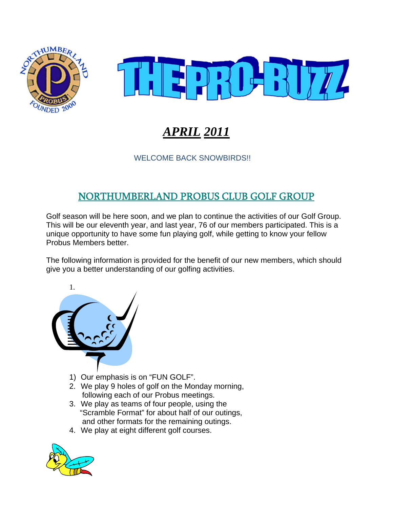



# *APRIL 2011*

#### WELCOME BACK SNOWBIRDS!!

## NORTHUMBERLAND PROBUS CLUB GOLF GROUP

Golf season will be here soon, and we plan to continue the activities of our Golf Group. This will be our eleventh year, and last year, 76 of our members participated. This is a unique opportunity to have some fun playing golf, while getting to know your fellow Probus Members better.

The following information is provided for the benefit of our new members, which should give you a better understanding of our golfing activities.



- 1) Our emphasis is on "FUN GOLF".
- 2. We play 9 holes of golf on the Monday morning, following each of our Probus meetings.
- 3. We play as teams of four people, using the "Scramble Format" for about half of our outings, and other formats for the remaining outings.
- 4. We play at eight different golf courses.

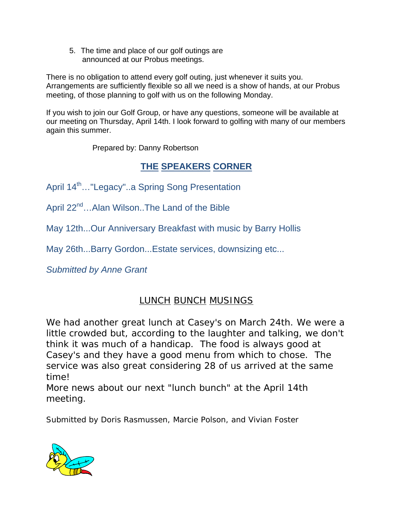5. The time and place of our golf outings are announced at our Probus meetings.

There is no obligation to attend every golf outing, just whenever it suits you. Arrangements are sufficiently flexible so all we need is a show of hands, at our Probus meeting, of those planning to golf with us on the following Monday.

If you wish to join our Golf Group, or have any questions, someone will be available at our meeting on Thursday, April 14th. I look forward to golfing with many of our members again this summer.

Prepared by: Danny Robertson

### **THE SPEAKERS CORNER**

April 14<sup>th</sup>..."Legacy"..a Spring Song Presentation

April 22<sup>nd</sup>...Alan Wilson..The Land of the Bible

May 12th...Our Anniversary Breakfast with music by Barry Hollis

May 26th...Barry Gordon...Estate services, downsizing etc...

*Submitted by Anne Grant* 

# *LUNCH BUNCH MUSINGS*

*We had another great lunch at Casey's on March 24th. We were a little crowded but, according to the laughter and talking, we don't think it was much of a handicap. The food is always good at Casey's and they have a good menu from which to chose. The service was also great considering 28 of us arrived at the same time!* 

*More news about our next "lunch bunch" at the April 14th meeting.* 

Submitted by Doris Rasmussen, Marcie Polson, and Vivian Foster

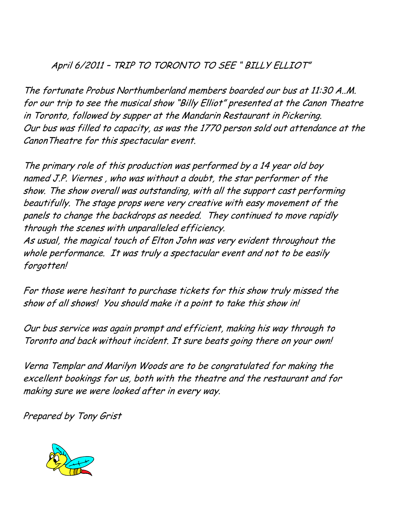### April 6/2011 – TRIP TO TORONTO TO SEE " BILLY ELLIOT"

The fortunate Probus Northumberland members boarded our bus at 11:30 A..M. for our trip to see the musical show "Billy Elliot" presented at the Canon Theatre in Toronto, followed by supper at the Mandarin Restaurant in Pickering. Our bus was filled to capacity, as was the 1770 person sold out attendance at the CanonTheatre for this spectacular event.

The primary role of this production was performed by a 14 year old boy named J.P. Viernes , who was without a doubt, the star performer of the show. The show overall was outstanding, with all the support cast performing beautifully. The stage props were very creative with easy movement of the panels to change the backdrops as needed. They continued to move rapidly through the scenes with unparalleled efficiency.

As usual, the magical touch of Elton John was very evident throughout the whole performance. It was truly a spectacular event and not to be easily forgotten!

For those were hesitant to purchase tickets for this show truly missed the show of all shows! You should make it a point to take this show in!

Our bus service was again prompt and efficient, making his way through to Toronto and back without incident. It sure beats going there on your own!

Verna Templar and Marilyn Woods are to be congratulated for making the excellent bookings for us, both with the theatre and the restaurant and for making sure we were looked after in every way.

Prepared by Tony Grist

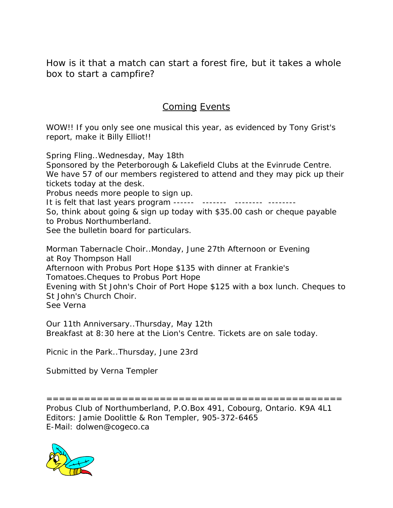*How is it that a match can start a forest fire, but it takes a whole box to start a campfire?* 

### Coming Events

WOW!! If you only see one musical this year, as evidenced by Tony Grist's report, make it Billy Elliot!!

Spring Fling..Wednesday, May 18th

Sponsored by the Peterborough & Lakefield Clubs at the Evinrude Centre. We have 57 of our members registered to attend and they may pick up their tickets today at the desk.

Probus needs more people to sign up.

It is felt that last years program ------ ------- -------- --------

So, think about going & sign up today with \$35.00 cash or cheque payable to Probus Northumberland.

See the bulletin board for particulars.

Morman Tabernacle Choir..Monday, June 27th Afternoon or Evening at Roy Thompson Hall Afternoon with Probus Port Hope \$135 with dinner at Frankie's Tomatoes.Cheques to Probus Port Hope Evening with St John's Choir of Port Hope \$125 with a box lunch. Cheques to St John's Church Choir. See Verna

Our 11th Anniversary..Thursday, May 12th Breakfast at 8:30 here at the Lion's Centre. Tickets are on sale today.

Picnic in the Park..Thursday, June 23rd

Submitted by Verna Templer

=============================================== Probus Club of Northumberland, P.O.Box 491, Cobourg, Ontario. K9A 4L1 Editors: Jamie Doolittle & Ron Templer, 905-372-6465 E-Mail: dolwen@cogeco.ca

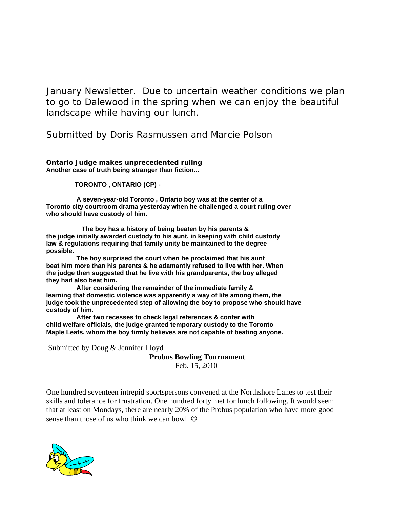*January Newsletter. Due to uncertain weather conditions we plan to go to Dalewood in the spring when we can enjoy the beautiful landscape while having our lunch.* 

*Submitted by Doris Rasmussen and Marcie Polson* 

**Ontario Judge makes unprecedented ruling Another case of truth being stranger than fiction...** 

 **TORONTO , ONTARIO (CP) -** 

 **A seven-year-old Toronto , Ontario boy was at the center of a Toronto city courtroom drama yesterday when he challenged a court ruling over who should have custody of him.** 

 **The boy has a history of being beaten by his parents & the judge initially awarded custody to his aunt, in keeping with child custody law & regulations requiring that family unity be maintained to the degree possible.** 

 **The boy surprised the court when he proclaimed that his aunt beat him more than his parents & he adamantly refused to live with her. When the judge then suggested that he live with his grandparents, the boy alleged they had also beat him.** 

 **After considering the remainder of the immediate family & learning that domestic violence was apparently a way of life among them, the judge took the unprecedented step of allowing the boy to propose who should have custody of him.** 

 **After two recesses to check legal references & confer with child welfare officials, the judge granted temporary custody to the Toronto Maple Leafs, whom the boy firmly believes are not capable of beating anyone.**

Submitted by Doug & Jennifer Lloyd

**Probus Bowling Tournament** 

Feb. 15, 2010

One hundred seventeen intrepid sportspersons convened at the Northshore Lanes to test their skills and tolerance for frustration. One hundred forty met for lunch following. It would seem that at least on Mondays, there are nearly 20% of the Probus population who have more good sense than those of us who think we can bowl.

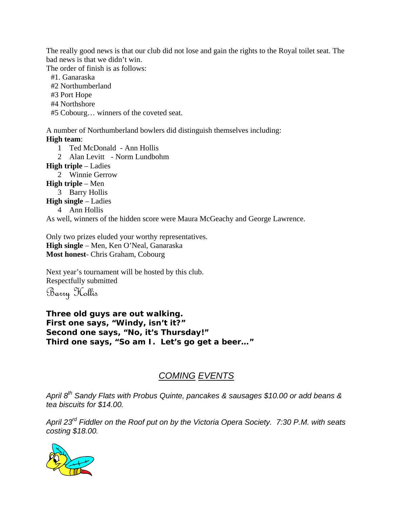The really good news is that our club did not lose and gain the rights to the Royal toilet seat. The bad news is that we didn't win.

The order of finish is as follows:

#1. Ganaraska

#2 Northumberland

#3 Port Hope

#4 Northshore

#5 Cobourg… winners of the coveted seat.

A number of Northumberland bowlers did distinguish themselves including: **High team**:

1 Ted McDonald - Ann Hollis

2 Alan Levitt - Norm Lundbohm

**High triple** – Ladies

2 Winnie Gerrow

**High triple** – Men

3 Barry Hollis

**High single** – Ladies

4 Ann Hollis

As well, winners of the hidden score were Maura McGeachy and George Lawrence.

Only two prizes eluded your worthy representatives. **High single** – Men, Ken O'Neal, Ganaraska **Most honest**- Chris Graham, Cobourg

Next year's tournament will be hosted by this club. Respectfully submitted

Barry Hollis

**Three old guys are out walking. First one says, "Windy, isn't it?" Second one says, "No, it's Thursday!" Third one says, "So am I. Let's go get a beer…"** 

#### *COMING EVENTS*

*April 8th Sandy Flats with Probus Quinte, pancakes & sausages \$10.00 or add beans & tea biscuits for \$14.00.* 

*April 23rd Fiddler on the Roof put on by the Victoria Opera Society. 7:30 P.M. with seats costing \$18.00.*